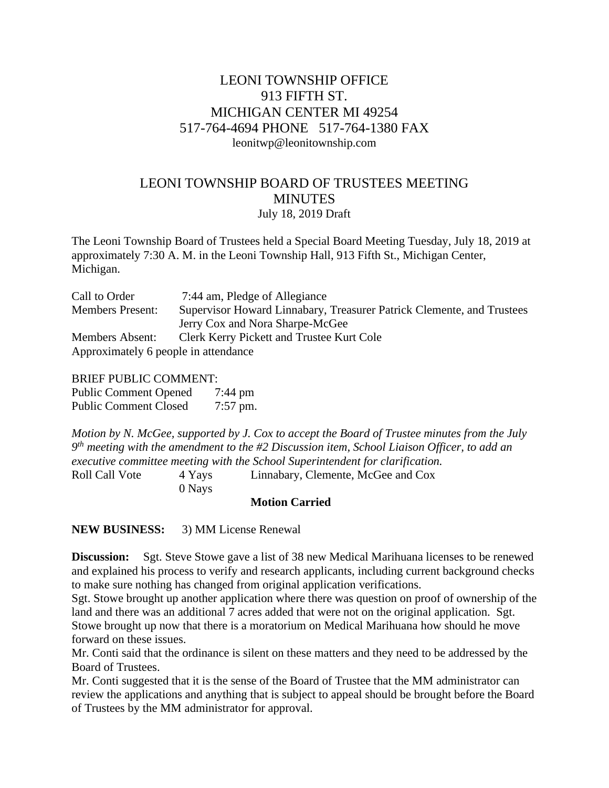# LEONI TOWNSHIP OFFICE 913 FIFTH ST. MICHIGAN CENTER MI 49254 517-764-4694 PHONE 517-764-1380 FAX leonitwp@leonitownship.com

# LEONI TOWNSHIP BOARD OF TRUSTEES MEETING **MINUTES** July 18, 2019 Draft

The Leoni Township Board of Trustees held a Special Board Meeting Tuesday, July 18, 2019 at approximately 7:30 A. M. in the Leoni Township Hall, 913 Fifth St., Michigan Center, Michigan.

| Call to Order                        | 7:44 am, Pledge of Allegiance                                         |
|--------------------------------------|-----------------------------------------------------------------------|
| <b>Members Present:</b>              | Supervisor Howard Linnabary, Treasurer Patrick Clemente, and Trustees |
|                                      | Jerry Cox and Nora Sharpe-McGee                                       |
| <b>Members Absent:</b>               | Clerk Kerry Pickett and Trustee Kurt Cole                             |
| Approximately 6 people in attendance |                                                                       |

### BRIEF PUBLIC COMMENT:

Public Comment Opened 7:44 pm Public Comment Closed 7:57 pm.

*Motion by N. McGee, supported by J. Cox to accept the Board of Trustee minutes from the July 9 th meeting with the amendment to the #2 Discussion item, School Liaison Officer, to add an executive committee meeting with the School Superintendent for clarification.* Roll Call Vote 4 Yays Linnabary, Clemente, McGee and Cox

0 Nays

## **Motion Carried**

**NEW BUSINESS:** 3) MM License Renewal

**Discussion:** Sgt. Steve Stowe gave a list of 38 new Medical Marihuana licenses to be renewed and explained his process to verify and research applicants, including current background checks to make sure nothing has changed from original application verifications.

Sgt. Stowe brought up another application where there was question on proof of ownership of the land and there was an additional 7 acres added that were not on the original application. Sgt. Stowe brought up now that there is a moratorium on Medical Marihuana how should he move forward on these issues.

Mr. Conti said that the ordinance is silent on these matters and they need to be addressed by the Board of Trustees.

Mr. Conti suggested that it is the sense of the Board of Trustee that the MM administrator can review the applications and anything that is subject to appeal should be brought before the Board of Trustees by the MM administrator for approval.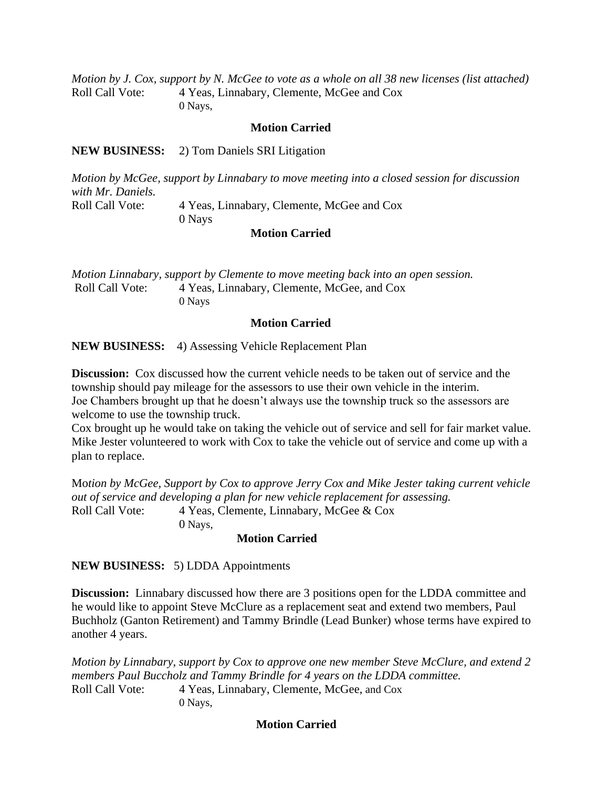*Motion by J. Cox, support by N. McGee to vote as a whole on all 38 new licenses (list attached)* Roll Call Vote: 4 Yeas, Linnabary, Clemente, McGee and Cox 0 Nays,

#### **Motion Carried**

**NEW BUSINESS:** 2) Tom Daniels SRI Litigation

*Motion by McGee, support by Linnabary to move meeting into a closed session for discussion with Mr. Daniels.* Roll Call Vote: 4 Yeas, Linnabary, Clemente, McGee and Cox 0 Nays

#### **Motion Carried**

*Motion Linnabary, support by Clemente to move meeting back into an open session.* Roll Call Vote: 4 Yeas, Linnabary, Clemente, McGee, and Cox 0 Nays

### **Motion Carried**

**NEW BUSINESS:** 4) Assessing Vehicle Replacement Plan

**Discussion:** Cox discussed how the current vehicle needs to be taken out of service and the township should pay mileage for the assessors to use their own vehicle in the interim. Joe Chambers brought up that he doesn't always use the township truck so the assessors are welcome to use the township truck.

Cox brought up he would take on taking the vehicle out of service and sell for fair market value. Mike Jester volunteered to work with Cox to take the vehicle out of service and come up with a plan to replace.

Mo*tion by McGee, Support by Cox to approve Jerry Cox and Mike Jester taking current vehicle out of service and developing a plan for new vehicle replacement for assessing.* Roll Call Vote: 4 Yeas, Clemente, Linnabary, McGee & Cox

0 Nays,

#### **Motion Carried**

**NEW BUSINESS:** 5) LDDA Appointments

**Discussion:** Linnabary discussed how there are 3 positions open for the LDDA committee and he would like to appoint Steve McClure as a replacement seat and extend two members, Paul Buchholz (Ganton Retirement) and Tammy Brindle (Lead Bunker) whose terms have expired to another 4 years.

*Motion by Linnabary, support by Cox to approve one new member Steve McClure, and extend 2 members Paul Buccholz and Tammy Brindle for 4 years on the LDDA committee.* Roll Call Vote: 4 Yeas, Linnabary, Clemente, McGee, and Cox 0 Nays,

# **Motion Carried**